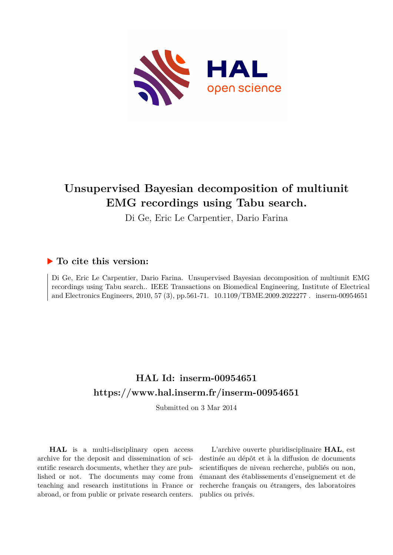

## **Unsupervised Bayesian decomposition of multiunit EMG recordings using Tabu search.**

Di Ge, Eric Le Carpentier, Dario Farina

### **To cite this version:**

Di Ge, Eric Le Carpentier, Dario Farina. Unsupervised Bayesian decomposition of multiunit EMG recordings using Tabu search.. IEEE Transactions on Biomedical Engineering, Institute of Electrical and Electronics Engineers, 2010, 57 (3), pp.561-71. 10.1109/TBME.2009.2022277. inserm-00954651

## **HAL Id: inserm-00954651 <https://www.hal.inserm.fr/inserm-00954651>**

Submitted on 3 Mar 2014

**HAL** is a multi-disciplinary open access archive for the deposit and dissemination of scientific research documents, whether they are published or not. The documents may come from teaching and research institutions in France or abroad, or from public or private research centers.

L'archive ouverte pluridisciplinaire **HAL**, est destinée au dépôt et à la diffusion de documents scientifiques de niveau recherche, publiés ou non, émanant des établissements d'enseignement et de recherche français ou étrangers, des laboratoires publics ou privés.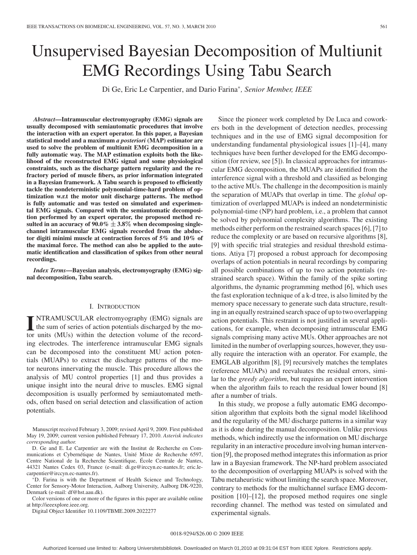# Unsupervised Bayesian Decomposition of Multiunit EMG Recordings Using Tabu Search

Di Ge, Eric Le Carpentier, and Dario Farina<sup>∗</sup> *, Senior Member, IEEE*

*Abstract***—Intramuscular electromyography (EMG) signals are usually decomposed with semiautomatic procedures that involve the interaction with an expert operator. In this paper, a Bayesian statistical model and a maximum** *a posteriori* **(MAP) estimator are used to solve the problem of multiunit EMG decomposition in a fully automatic way. The MAP estimation exploits both the likelihood of the reconstructed EMG signal and some physiological constraints, such as the discharge pattern regularity and the refractory period of muscle fibers, as prior information integrated in a Bayesian framework. A Tabu search is proposed to efficiently tackle the nondeterministic polynomial-time-hard problem of optimization w.r.t the motor unit discharge patterns. The method is fully automatic and was tested on simulated and experimental EMG signals. Compared with the semiautomatic decomposition performed by an expert operator, the proposed method resulted in an accuracy of 90.0%** ± **3.8**% **when decomposing singlechannel intramuscular EMG signals recorded from the abductor digiti minimi muscle at contraction forces of 5% and 10% of the maximal force. The method can also be applied to the automatic identification and classification of spikes from other neural recordings.**

*Index Terms***—Bayesian analysis, electromyography (EMG) signal decomposition, Tabu search.**

#### I. INTRODUCTION

**I** NTRAMUSCULAR electromyography (EMG) signals are<br>the sum of series of action potentials discharged by the mo-<br>tor units (MUs) within the detection volume of the record NTRAMUSCULAR electromyography (EMG) signals are tor units (MUs) within the detection volume of the recording electrodes. The interference intramuscular EMG signals can be decomposed into the constituent MU action potentials (MUAPs) to extract the discharge patterns of the motor neurons innervating the muscle. This procedure allows the analysis of MU control properties [1] and thus provides a unique insight into the neural drive to muscles. EMG signal decomposition is usually performed by semiautomated methods, often based on serial detection and classification of action potentials.

∗D. Farina is with the Department of Health Science and Technology, Center for Sensory-Motor Interaction, Aalborg University, Aalborg DK-9220, Denmark (e-mail: df@hst.aau.dk).

Color versions of one or more of the figures in this paper are available online at http://ieeexplore.ieee.org.

Digital Object Identifier 10.1109/TBME.2009.2022277

Since the pioneer work completed by De Luca and coworkers both in the development of detection needles, processing techniques and in the use of EMG signal decomposition for understanding fundamental physiological issues [1]–[4], many techniques have been further developed for the EMG decomposition (for review, see [5]). In classical approaches for intramuscular EMG decomposition, the MUAPs are identified from the interference signal with a threshold and classified as belonging to the active MUs. The challenge in the decomposition is mainly the separation of MUAPs that overlap in time. The *global* optimization of overlapped MUAPs is indeed an nondeterministic polynomial-time (NP) hard problem, i.e., a problem that cannot be solved by polynomial complexity algorithms. The existing methods either perform on the restrained search spaces [6], [7] to reduce the complexity or are based on recursive algorithms [8], [9] with specific trial strategies and residual threshold estimations. Atiya [7] proposed a robust approach for decomposing overlaps of action potentials in neural recordings by comparing all possible combinations of up to two action potentials (restrained search space). Within the family of the spike sorting algorithms, the dynamic programming method [6], which uses the fast exploration technique of a k-d tree, is also limited by the memory space necessary to generate such data structure, resulting in an equally restrained search space of up to two overlapping action potentials. This restraint is not justified in several applications, for example, when decomposing intramuscular EMG signals comprising many active MUs. Other approaches are not limited in the number of overlapping sources, however, they usually require the interaction with an operator. For example, the EMGLAB algorithm [8], [9] recursively matches the templates (reference MUAPs) and reevaluates the residual errors, similar to the *greedy algorithm*, but requires an expert intervention when the algorithm fails to reach the residual lower bound [8] after a number of trials.

In this study, we propose a fully automatic EMG decomposition algorithm that exploits both the signal model likelihood and the regularity of the MU discharge patterns in a similar way as it is done during the manual decomposition. Unlike previous methods, which indirectly use the information on MU discharge regularity in an interactive procedure involving human intervention [9], the proposed method integrates this information as prior law in a Bayesian framework. The NP-hard problem associated to the decomposition of overlapping MUAPs is solved with the Tabu metaheuristic without limiting the search space. Moreover, contrary to methods for the multichannel surface EMG decomposition [10]–[12], the proposed method requires one single recording channel. The method was tested on simulated and experimental signals.

Manuscript received February 3, 2009; revised April 9, 2009. First published May 19, 2009; current version published February 17, 2010. *Asterisk indicates corresponding author.*

D. Ge and E. Le Carpentier are with the Institut de Recherche en Communications et Cybernétique de Nantes, Unité Mixte de Recherche 6597, Centre National de la Recherche Scientifique, Ecole Centrale de Nantes, ´ 44321 Nantes Cedex 03, France (e-mail: di.ge@irccyn.ec-nantes.fr; eric.lecarpentier@irccyn.ec-nantes.fr).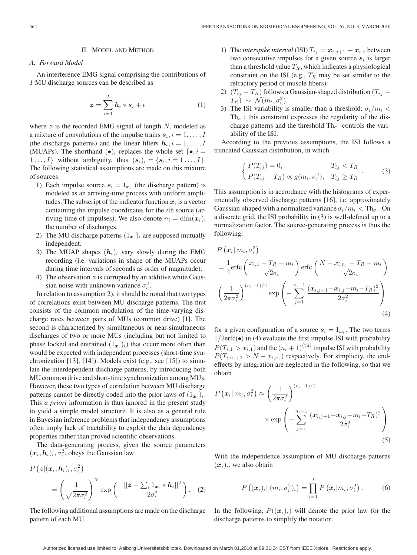#### II. MODEL AND METHOD

#### *A. Forward Model*

An interference EMG signal comprising the contributions of I MU discharge sources can be described as

$$
\boldsymbol{z} = \sum_{i=1}^{I} \boldsymbol{h}_i * \boldsymbol{s}_i + \epsilon \tag{1}
$$

where  $z$  is the recorded EMG signal of length  $N$ , modeled as a mixture of convolutions of the impulse trains  $s_i, i = 1, \ldots, I$ (the discharge patterns) and the linear filters  $h_i$ ,  $i = 1, \ldots, I$ (MUAPs). The shorthand  $(\bullet)_i$  replaces the whole set  $\{\bullet, i =$ 1..., I} without ambiguity, thus  $(s_i)_i = \{s_i, i = 1, \ldots, I\}.$ The following statistical assumptions are made on this mixture of sources.

- 1) Each impulse source  $s_i = 1_{x_i}$  (the discharge pattern) is modeled as an arriving-time process with uniform amplitudes. The subscript of the indicator function  $x_i$  is a vector containing the impulse coordinates for the ith source (arriving time of impulses). We also denote  $n_i = \dim(x_i)$ , the number of discharges.
- 2) The MU discharge patterns  $(1_{x_i})_i$  are supposed mutually independent.
- 3) The MUAP shapes  $(h_i)_i$  vary slowly during the EMG recording (i.e. variations in shape of the MUAPs occur during time intervals of seconds as order of magnitude).
- 4) The observation  $z$  is corrupted by an additive white Gaussian noise with unknown variance  $\sigma_{\epsilon}^2$ .

In relation to assumption 2), it should be noted that two types of correlations exist between MU discharge patterns. The first consists of the common modulation of the time-varying discharge rates between pairs of MUs (common drive) [1]. The second is characterized by simultaneous or near-simultaneous discharges of two or more MUs (including but not limited to phase locked and entrained  $(1_{x_i})_i$ ) that occur more often than would be expected with independent processes (short-time synchronization [13], [14]). Models exist (e.g., see [15]) to simulate the interdependent discharge patterns, by introducing both MU common drive and short-time synchronization among MUs. However, these two types of correlation between MU discharge patterns cannot be directly coded into the prior laws of  $(1_{x_i})_i$ . This *a priori* information is thus ignored in the present study to yield a simple model structure. It is also as a general rule in Bayesian inference problems that independency assumptions often imply lack of tractability to exploit the data dependency properties rather than proved scientific observations.

The data-generating process, given the source parameters  $(x_i, h_i)_i, \sigma_\epsilon^2$ , obeys the Gaussian law

$$
P\left(\boldsymbol{z} | (\boldsymbol{x}_i, \boldsymbol{h}_i)_i, \sigma_{\epsilon}^2\right) = \left(\frac{1}{\sqrt{2\pi\sigma_{\epsilon}^2}}\right)^N \exp\left(-\frac{||\boldsymbol{z} - \sum_i 1_{\boldsymbol{x}_i} * \boldsymbol{h}_i||^2}{2\sigma_{\epsilon}^2}\right). \quad (2)
$$

The following additional assumptions are made on the discharge pattern of each MU.

- 1) The *interspike interval* (ISI)  $T_{ij} = x_{i,j+1} x_{i,j}$  between two consecutive impulses for a given source  $s_i$  is larger than a threshold value  $T_R$ , which indicates a physiological constraint on the ISI (e.g.,  $T_R$  may be set similar to the refractory period of muscle fibers).
- 2)  $(T_{ij} T_R)$  follows a Gaussian-shaped distribution  $(T_{ij} T_R)$  $T_R$ ) ~  $\mathcal{N}(m_i, \sigma_i^2)$ .
- 3) The ISI variability is smaller than a threshold:  $\sigma_i/m_i$  < Th<sub> $\sigma_i$ </sub>; this constraint expresses the regularity of the discharge patterns and the threshold  $\text{Th}_{\sigma_i}$  controls the variability of the ISI.

According to the previous assumptions, the ISI follows a truncated Gaussian distribution, in which

$$
\begin{cases}\nP(T_{ij}) = 0, & T_{ij} < T_R \\
P(T_{ij} - T_R) \propto g(m_i, \sigma_i^2), & T_{ij} \ge T_R\n\end{cases} \tag{3}
$$

This assumption is in accordance with the histograms of experimentally observed discharge patterns [16], i.e. approximately Gaussian-shaped with a normalized variance  $\sigma_i/m_i < Th_{\sigma_i}$ . On a discrete grid, the ISI probability in (3) is well-defined up to a normalization factor. The source-generating process is thus the following:

$$
P\left(\boldsymbol{x}_{i} | m_{i}, \sigma_{i}^{2}\right)
$$
\n
$$
= \frac{1}{4} \text{erfc}\left(\frac{x_{i,1} - T_{R} - m_{i}}{\sqrt{2}\sigma_{i}}\right) \text{erfc}\left(\frac{N - x_{i,n_{i}} - T_{R} - m_{i}}{\sqrt{2}\sigma_{i}}\right)
$$
\n
$$
\left(\frac{1}{2\pi\sigma_{i}^{2}}\right)^{(n_{i}-1)/2} \exp\left(-\sum_{j=1}^{n_{i}-1} \frac{(\boldsymbol{x}_{i,j+1} - \boldsymbol{x}_{i,j} - m_{i} - T_{R})^{2}}{2\sigma_{i}^{2}}\right)
$$
\n(4)

for a given configuration of a source  $s_i = 1_{x_i}$ . The two terms  $1/2$ erfc $\bullet$ ) in (4) evaluate the first impulse ISI with probability  $P(T_{i,1} > x_{i,1})$  and the  $(n_i + 1)^{(\text{th})}$  impulse ISI with probability  $P(T_{i,n_i+1} > N - x_{i,n_i})$  respectively. For simplicity, the endeffects by integration are neglected in the following, so that we obtain

$$
P\left(\boldsymbol{x}_{i} | m_{i}, \sigma_{i}^{2}\right) \approx \left(\frac{1}{2\pi\sigma_{i}^{2}}\right)^{(n_{i}-1)/2}
$$

$$
\times \exp\left(-\sum_{j=1}^{n_{i}-1} \frac{(\boldsymbol{x}_{i,j+1} - \boldsymbol{x}_{i,j} - m_{i} - T_{R})^{2}}{2\sigma_{i}^{2}}\right).
$$
\n(5)

With the independence assumption of MU discharge patterns  $(x_i)_i$ , we also obtain

$$
P\left((\boldsymbol{x}_i)_i | (m_i, \sigma_i^2)_i\right) = \prod_{i=1}^I P\left(\boldsymbol{x}_i | m_i, \sigma_i^2\right). \tag{6}
$$

In the following,  $P((x_i)_i)$  will denote the prior law for the discharge patterns to simplify the notation.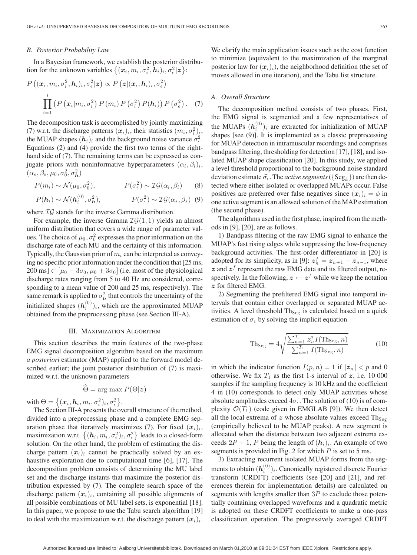#### *B. Posterior Probability Law*

In a Bayesian framework, we establish the posterior distribution for the unknown variables  $\{(\boldsymbol{x}_i, m_i, \sigma_i^2, \boldsymbol{h}_i)_i, \sigma_\epsilon^2 | \boldsymbol{z}\}\.$ 

$$
P\left((\boldsymbol{x}_i,m_i,\sigma_i^2,\boldsymbol{h}_i)_i,\sigma_\epsilon^2|\boldsymbol{z}\right)\propto P\left(\boldsymbol{z}|(\boldsymbol{x}_i,\boldsymbol{h}_i)_i,\sigma_\epsilon^2\right)
$$

$$
\prod_{i=1}^I\left(P\left(\boldsymbol{x}_i|m_i,\sigma_i^2\right)P\left(m_i\right)P\left(\sigma_i^2\right)P(\boldsymbol{h}_i)\right)P\left(\sigma_\epsilon^2\right). \quad (7)
$$

The decomposition task is accomplished by jointly maximizing (7) w.r.t. the discharge patterns  $(x_i)_i$ , their statistics  $(m_i, \sigma_i^2)_i$ , the MUAP shapes  $(h_i)_i$  and the background noise variance  $\sigma_{\epsilon}^2$ . Equations (2) and (4) provide the first two terms of the righthand side of  $(7)$ . The remaining terms can be expressed as conjugate priors with noninformative hyperparameters  $(\alpha_i, \beta_i)_i$ ,  $(\alpha_s, \beta_s, \mu_0, \sigma_0^2, \sigma_{\boldsymbol{h}}^2)$ 

$$
P(m_i) \sim \mathcal{N}(\mu_0, \sigma_0^2), \qquad P(\sigma_i^2) \sim \mathcal{IG}(\alpha_i, \beta_i) \qquad (8)
$$

$$
P(\mathbf{h}_i) \sim \mathcal{N}(\mathbf{h}_i^{(0)}, \sigma_\mathbf{h}^2),
$$
  $P(\sigma_\epsilon^2) \sim \mathcal{IG}(\alpha_s, \beta_s)$  (9)

where  $IG$  stands for the inverse Gamma distribution.

For example, the inverse Gamma  $\mathcal{IG}(1, 1)$  yields an almost uniform distribution that covers a wide range of parameter values. The choice of  $\mu_0$ ,  $\sigma_0^2$  expresses the prior information on the discharge rate of each MU and the certainty of this information. Typically, the Gaussian prior of  $m<sub>i</sub>$  can be interpreted as conveying no specific prior information under the condition that [25 ms, 200 ms]  $\subset$   $[\mu_0 - 3\sigma_0, \mu_0 + 3\sigma_0]$  (i.e. most of the physiological discharge rates ranging from 5 to 40 Hz are considered, corresponding to a mean value of 200 and 25 ms, respectively). The same remark is applied to  $\sigma_h^2$  that controls the uncertainty of the initialized shapes  $(h_i^{(0)})_i$ , which are the approximated MUAP obtained from the preprocessing phase (see Section III-A).

#### III. MAXIMIZATION ALGORITHM

This section describes the main features of the two-phase EMG signal decomposition algorithm based on the maximum *a posteriori* estimator (MAP) applied to the forward model described earlier; the joint posterior distribution of (7) is maximized w.r.t. the unknown parameters

$$
\widehat{\Theta} = \arg \max P(\Theta | \mathbf{z})
$$

with  $\Theta = \big\{(\boldsymbol{x}_i, \boldsymbol{h}_i, m_i, \sigma_i^2)_i, \sigma_\epsilon^2\big\}.$ 

The Section III-A presents the overall structure of the method, divided into a preprocessing phase and a complete EMG separation phase that iteratively maximizes (7). For fixed  $(x_i)_i$ , maximization w.r.t.  $\left\{(\boldsymbol{h}_i,m_i,\sigma_i^2)_i,\sigma_\epsilon^2\right\}$  leads to a closed-form solution. On the other hand, the problem of estimating the discharge pattern  $(x_i)_i$  cannot be practically solved by an exhaustive exploration due to computational time [6], [17]. The decomposition problem consists of determining the MU label set and the discharge instants that maximize the posterior distribution expressed by (7). The complete search space of the discharge pattern  $(x_i)_i$ , containing all possible alignments of all possible combinations of MU label sets, is exponential [18]. In this paper, we propose to use the Tabu search algorithm [19] to deal with the maximization w.r.t. the discharge pattern  $(x_i)_i$ .

We clarify the main application issues such as the cost function to minimize (equivalent to the maximization of the marginal posterior law for  $(x_i)_i$ ), the neighborhood definition (the set of moves allowed in one iteration), and the Tabu list structure.

#### *A. Overall Structure*

The decomposition method consists of two phases. First, the EMG signal is segmented and a few representatives of the MUAPs  $(h_i^{(0)})_i$  are extracted for initialization of MUAP shapes [see (9)]. It is implemented as a classic preprocessing for MUAP detection in intramuscular recordings and comprises bandpass filtering, thresholding for detection [17], [18], and isolated MUAP shape classification [20]. In this study, we applied a level threshold proportional to the background noise standard deviation estimate  $\hat{\sigma}_{\epsilon}$ . The *active segments* ( $\{Seg_k\}$ ) are then detected where either isolated or overlapped MUAPs occur. False positives are preferred over false negatives since  $(x_i)_i = \phi$  in one active segment is an allowed solution of the MAP estimation (the second phase).

The algorithms used in the first phase, inspired from the methods in [9], [20], are as follows.

1) Bandpass filtering of the raw EMG signal to enhance the MUAP's fast rising edges while suppressing the low-frequency background activities. The first-order differentiator in [20] is adopted for its simplicity, as in [9]:  $z_n^f = z_{n+1} - z_{n-1}$ , where  $z$  and  $z<sup>f</sup>$  represent the raw EMG data and its filtered output, respectively. In the following,  $z \leftarrow z^f$  while we keep the notation z for filtered EMG.

2) Segmenting the prefiltered EMG signal into temporal intervals that contain either overlapped or separated MUAP activities. A level threshold  $Th<sub>Seg</sub>$  is calculated based on a quick estimation of  $\sigma_{\epsilon}$  by solving the implicit equation

$$
\text{Th}_{\text{Seg}} = 4\sqrt{\frac{\sum_{n=1}^{T_1} z_n^2 I(\text{Th}_{\text{Seg}}, n)}{\sum_{n=1}^{T_1} I(\text{Th}_{\text{Seg}}, n)}}
$$
(10)

in which the indicator function  $I(p, n) = 1$  if  $|z_n| < p$  and 0 otherwise. We fix  $T_1$  as the first 1-s interval of z, i.e. 10 000 samples if the sampling frequency is 10 kHz and the coefficient 4 in (10) corresponds to detect only MUAP activities whose absolute amplitudes exceed  $4\sigma_{\epsilon}$ . The solution of (10) is of complexity  $\mathcal{O}(T_1)$  (code given in EMGLAB [9]). We then detect all the local extrema of  $z$  whose absolute values exceed  $\text{Th}_{\text{Seg}}$ (empirically believed to be MUAP peaks). A new segment is allocated when the distance between two adjacent extrema exceeds  $2P + 1$ , P being the length of  $(h_i)_i$ . An example of two segments is provided in Fig. 2 for which  $P$  is set to 5 ms.

3) Extracting recurrent isolated MUAP forms from the segments to obtain  $(\boldsymbol{h}_i^{(0)})_i$ . Canonically registered discrete Fourier transform (CRDFT) coefficients (see [20] and [21], and references therein for implementation details) are calculated on segments with lengths smaller than  $3P$  to exclude those potentially containing overlapped waveforms and a quadratic metric is adopted on these CRDFT coefficients to make a one-pass classification operation. The progressively averaged CRDFT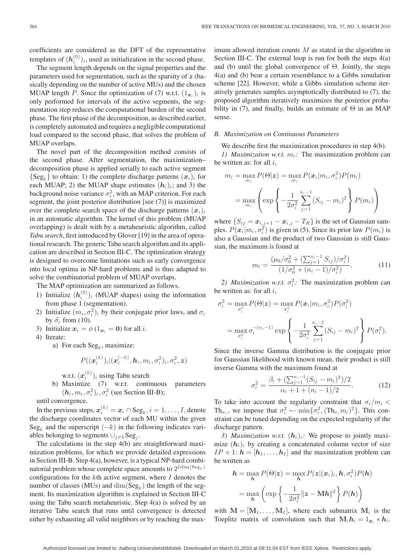coefficients are considered as the DFT of the representative templates of  $(h_i^{(0)})_i$ , used as initialization in the second phase.

The segment length depends on the signal properties and the parameters used for segmentation, such as the sparsity of  $z$  (basically depending on the number of active MUs) and the chosen MUAP length P. Since the optimization of (7) w.r.t.  $(1_{x_i})_i$  is only performed for intervals of the active segments, the segmentation step reduces the computational burden of the second phase. The first phase of the decomposition, as described earlier, is completely automated and requires a negligible computational load compared to the second phase, that solves the problem of MUAP overlaps.

The novel part of the decomposition method consists of the second phase. After segmentation, the maximization– decomposition phase is applied serially to each active segment  $\{Seg_k\}$  to obtain: 1) the complete discharge patterns  $(\boldsymbol{x}_i)_i$  for each MUAP; 2) the MUAP shape estimates  $(h_i)_i$ ; and 3) the background noise variance  $\sigma_{\epsilon}^2$ , with an MAP criterion. For each segment, the joint posterior distribution [see (7)] is maximized over the complete search space of the discharge patterns  $(x_i)_i$ in an automatic algorithm. The kernel of this problem (MUAP overlapping) is dealt with by a metaheuristic algorithm, called *Tabu search*, first introduced by Glover [19] in the area of operational research. The generic Tabu search algorithm and its application are described in Section III-C. The optimization strategy is designed to overcome limitations such as early convergence into local optima in NP-hard problems and is thus adapted to solve the combinatorial problem of MUAP overlaps.

The MAP optimization are summarized as follows.

- 1) Initialize  $(h_i^{(0)})_i$  (MUAP shapes) using the information from phase 1 (segmentation).
- 2) Initialize  $(m_i, \sigma_i^2)_i$  by their conjugate prior laws, and  $\sigma_{\epsilon}$ by  $\widehat{\sigma}_{\epsilon}$  from (10).
- 3) Initialize  $x_i = \phi(1_{x_i} = 0)$  for all *i*.
- 4) Iterate:
	- a) For each  $\text{Seg}_k$ , maximize:

$$
P((\boldsymbol{x}_i^{(k)})_i|(\boldsymbol{x}_i^{(-k)},\boldsymbol{h}_i,m_i,\sigma_i^2)_i,\sigma_\epsilon^2,\boldsymbol{z})
$$

w.r.t.  $(\boldsymbol{x}_i^{(k)})_i$  using Tabu search

b) Maximize (7) w.r.t. continuous parameters  $(h_i, m_i, \sigma_i^2)_i, \sigma_{\epsilon}^2$  (see Section III-B);

until convergence.

In the previous steps,  $\boldsymbol{x}_i^{(k)} = \boldsymbol{x}_i \cap \text{Seg}_k, i = 1,\ldots,I,$  denote the discharge coordinates vector of each MU within the given Seg<sub>k</sub> and the superscript  $(-k)$  in the following indicates variables belonging to segments  $\cup_{j\neq k} \text{Seg}_j$ .

The calculations in the step 4(b) are straightforward maximization problems, for which we provide detailed expressions in Section III-B. Step 4(a), however, is a typical NP-hard combinatorial problem whose complete space amounts to  $2^{I \text{dim}(\text{Seg}_k)}$ configurations for the  $k$ th active segment, where  $I$  denotes the number of classes (MUs) and  $\dim(\text{Seg}_k)$  the length of the segment. Its maximization algorithm is explained in Section III-C using the Tabu search metaheuristic. Step 4(a) is solved by an iterative Tabu search that runs until convergence is detected either by exhausting all valid neighbors or by reaching the maximum allowed iteration counts  $M$  as stated in the algorithm in Section III-C. The external loop is run for both the steps  $4(a)$ and (b) until the global convergence of  $\Theta$ . Jointly, the steps 4(a) and (b) bear a certain resemblance to a Gibbs simulation scheme [22]. However, while a Gibbs simulation scheme iteratively generates samples asymptotically distributed to (7), the proposed algorithm iteratively maximizes the posterior probability in (7), and finally, builds an estimate of  $\Theta$  in an MAP sense.

#### *B. Maximization on Continuous Parameters*

We describe first the maximization procedures in step 4(b).

*1) Maximization w.r.t.*  $m_i$ : The maximization problem can be written as: for all  $i$ ,

$$
m_{i} = \max_{m_{i}} P(\Theta | \mathbf{z}) = \max_{m_{i}} P(\mathbf{x}_{i} | m_{i}, \sigma_{i}^{2}) P(m_{i})
$$
  
= 
$$
\max_{m_{i}} \left( \exp \left\{ -\frac{1}{2\sigma_{i}^{2}} \sum_{j=1}^{n_{i}-1} (S_{ij} - m_{i})^{2} \right\} P(m_{i}) \right)
$$

where  $\{S_{ij} = x_{i,j+1} - x_{i,j} - T_R\}$  is the set of Gaussian samples.  $P(\mathbf{x}_i | m_i, \sigma_i^2)$  is given in (5). Since its prior law  $P(m_i)$  is also a Gaussian and the product of two Gaussian is still Gaussian, the maximum is found at

$$
m_i = \frac{(\mu_0/\sigma_0^2 + (\sum_{j=1}^{n_i - 1} S_{ij})/\sigma_i^2)}{(1/\sigma_0^2 + (n_i - 1)/\sigma_i^2)}.
$$
 (11)

2) *Maximization w.r.t.*  $\sigma_i^2$ : The maximization problem can be written as: for all  $i$ ,

$$
\sigma_i^2 = \max_{\sigma_i^2} P(\Theta | \mathbf{z}) = \max_{\sigma_i^2} P(\mathbf{x}_i | m_i, \sigma_i^2) P(\sigma_i^2)
$$
  
= 
$$
\max_{\sigma_i^2} \sigma_i^{-(n_i - 1)} \exp \left\{-\frac{1}{2\sigma_i^2} \sum_{j=1}^{n_i - 1} (S_{ij} - m_i)^2\right\} P(\sigma_i^2).
$$

Since the inverse Gamma distribution is the conjugate prior for Gaussian likelihood with known mean, their product is still inverse Gamma with the maximum found at

$$
\sigma_i^2 = \frac{\beta_i + (\sum_{j=1}^{n_i - 1} (S_{ij} - m_i)^2)/2}{\alpha_i + 1 + (n_i - 1)/2}.
$$
 (12)

To take into account the regularity constraint that  $\sigma_i/m_i$ Th<sub> $\sigma_i$ </sub>, we impose that  $\sigma_i^2 \leftarrow \min\{\sigma_i^2, (\text{Th}_{\sigma_i} m_i)^2\}$ . This constraint can be tuned depending on the expected regularity of the discharge pattern.

*3) Maximization w.r.t.*  $(h_i)_i$ : We propose to jointly maximize  $(h_i)_i$  by creating a concatenated column vector of size  $IP \times 1$ :  $\mathbf{h} = [\mathbf{h}_1, \dots, \mathbf{h}_I]$  and the maximization problem can be written as

$$
h = \max_{h} P(\Theta | \mathbf{z}) = \max_{h} P(\mathbf{z} | (\mathbf{x}_i)_i, h, \sigma_\epsilon^2) P(h)
$$

$$
= \max_{h} \left( \exp \left\{ -\frac{1}{2\sigma_\epsilon^2} ||\mathbf{z} - \mathbf{M}h||^2 \right\} P(h) \right)
$$

with  $M = [M_1, \ldots, M_I]$ , where each submatrix  $M_i$  is the Toeplitz matrix of convolution such that  $M_i h_i = 1_{x_i} * h_i$ .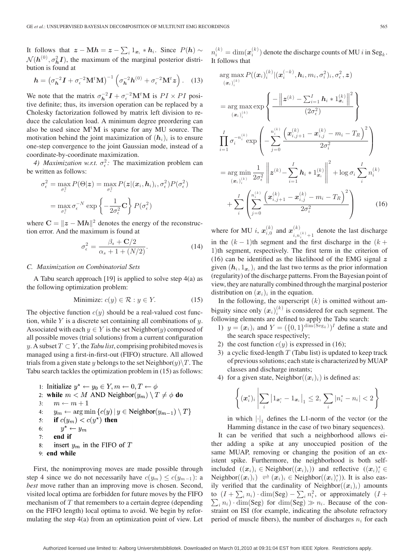It follows that  $z - Mh = z - \sum_i 1_{x_i} * h_i$ . Since  $P(h) \sim n_i^{(k)} = \dim(x_i^{(k)})$  denote the discharge counts of MU *i* in Seg<sub>k</sub>.  $\mathcal{N}(\mathbf{h}^{(0)}, \sigma_h^2 \mathbf{I})$ , the maximum of the marginal posterior distribution is found at

$$
\boldsymbol{h} = \left(\sigma_{\boldsymbol{h}}^{-2}\boldsymbol{I} + \sigma_{\epsilon}^{-2}\mathbf{M}^{t}\mathbf{M}\right)^{-1}\left(\sigma_{\boldsymbol{h}}^{-2}\boldsymbol{h}^{(0)} + \sigma_{\epsilon}^{-2}\mathbf{M}^{t}\boldsymbol{z}\right). \quad (13)
$$

We note that the matrix  $\sigma_h^{-2} \mathbf{I} + \sigma_\epsilon^{-2} \mathbf{M}^t \mathbf{M}$  is  $PI \times PI$  positive definite; thus, its inversion operation can be replaced by a Cholesky factorization followed by matrix left division to reduce the calculation load. A minimum degree preordering can also be used since  $M<sup>t</sup>M$  is sparse for any MU source. The motivation behind the joint maximization of  $(h_i)_i$  is to ensure one-step convergence to the joint Gaussian mode, instead of a coordinate-by-coordinate maximization.

*4) Maximization w.r.t.*  $\sigma_{\epsilon}^2$ : The maximization problem can be written as follows:

$$
\sigma_{\epsilon}^{2} = \max_{\sigma_{\epsilon}^{2}} P(\Theta | \mathbf{z}) = \max_{\sigma_{\epsilon}^{2}} P(\mathbf{z} | (\mathbf{x}_{i}, \mathbf{h}_{i})_{i}, \sigma_{\epsilon}^{2}) P(\sigma_{\epsilon}^{2})
$$

$$
= \max_{\sigma_{\epsilon}^{2}} \sigma_{\epsilon}^{-N} \exp \left\{-\frac{1}{2\sigma_{\epsilon}^{2}} \mathbf{C}\right\} P(\sigma_{\epsilon}^{2})
$$

where  $\mathbf{C} = \|\boldsymbol{z} - \mathbf{M}\boldsymbol{h}\|^2$  denotes the energy of the reconstruction error. And the maximum is found at

$$
\sigma_{\epsilon}^{2} = \frac{\beta_{s} + \mathbf{C}/2}{\alpha_{s} + 1 + (N/2)}.
$$
\n(14)

#### *C. Maximization on Combinatorial Sets*

A Tabu search approach [19] is applied to solve step 4(a) as the following optimization problem:

$$
Minimize: c(y) \in \mathcal{R} : y \in Y. \tag{15}
$$

The objective function  $c(y)$  should be a real-valued cost function, while  $Y$  is a discrete set containing all combinations of  $y$ . Associated with each  $y \in Y$  is the set Neighbor(y) composed of all possible moves (trial solutions) from a current configuration y. A subset  $T \subset Y$ , the *Tabu list*, comprising prohibited moves is managed using a first-in-first-out (FIFO) structure. All allowed trials from a given state y belongs to the set Neighbor $(y)\T$ . The Tabu search tackles the optimization problem in (15) as follows:

1: Initialize  $y^* \leftarrow y_0 \in Y, m \leftarrow 0, T \leftarrow \phi$ 2: while  $m < M$  AND Neighbor $(y_m) \setminus T \neq \phi$  do  $3:$  $m \leftarrow m + 1$  $y_m \leftarrow \arg \min \{c(y) | y \in \text{Neighbour}(y_{m-1}) \setminus T\}$  $4:$  $5:$ if  $c(y_m) < c(y^*)$  then  $y^* \leftarrow y_m$  $6:$  $7:$ end if insert  $y_m$  in the FIFO of T 8: 9 end while

First, the nonimproving moves are made possible through step 4 since we do not necessarily have  $c(y_m) \leq c(y_{m-1})$ : a *best* move rather than an improving move is chosen. Second, visited local optima are forbidden for future moves by the FIFO mechanism of  $T$  that remembers to a certain degree (depending on the FIFO length) local optima to avoid. We begin by reformulating the step 4(a) from an optimization point of view. Let It follows that

$$
\arg \max_{(\bm{x}_i)_i^{(k)}} P((\bm{x}_i)_i^{(k)} | (\bm{x}_i^{(-k)}, \bm{h}_i, m_i, \sigma_i^2)_i, \sigma_\epsilon^2, \bm{z})
$$
\n
$$
= \arg \max_{(\bm{x}_i)_i^{(k)}} \exp \left\{ \frac{-\left\| \bm{z}^{(k)} - \sum_{i=1}^I \bm{h}_i * 1_{\bm{x}_i}^{(k)} \right\|^2}{(2\sigma_\epsilon^2)} \right\}
$$
\n
$$
\prod_{i=1}^I \sigma_i^{-n_i^{(k)}} \exp \left( -\sum_{j=0}^{n_i^{(k)}} \frac{\left( \bm{x}_{i,j+1}^{(k)} - \bm{x}_{i,j}^{(k)} - m_i - T_R \right)^2}{2\sigma_i^2} \right)
$$
\n
$$
= \arg \min_{(\bm{x}_i)_i^{(k)}} \frac{1}{2\sigma_\epsilon^2} \left\| \bm{z}^{(k)} - \sum_{i=1}^I \bm{h}_i * 1_{\bm{x}_i}^{(k)} \right\|^2 + \log \sigma_i \sum_i n_i^{(k)}
$$
\n
$$
+ \sum_i \left( \sum_{j=0}^{n_i^{(k)}} \frac{\left( \bm{x}_{i,j+1}^{(k)} - \bm{x}_{i,j}^{(k)} - m_i - T_R \right)^2}{2\sigma_i^2} \right) \tag{16}
$$

where for MU *i*,  $x_{i,0}^{(k)}$  and  $x_{i,n}^{(k)}$  $\binom{k}{i,n_i(k)+1}$  denote the last discharge in the  $(k - 1)$ th segment and the first discharge in the  $(k + 1)$ 1)th segment, respectively. The first term in the criterion of (16) can be identified as the likelihood of the EMG signal  $z$ given  $(h_i, 1_{x_i})_i$  and the last two terms as the prior information (regularity) of the discharge patterns. From the Bayesian point of view, they are naturally combined through the marginal posterior distribution on  $(x_i)_i$  in the equation.

In the following, the superscript  $(k)$  is omitted without ambiguity since only  $(x_i)_i^{(k)}$  is considered for each segment. The following elements are defined to apply the Tabu search:

- 1)  $y = (x_i)_i$  and  $Y = (\{0, 1\}^{\dim(\text{Seg}_k)})^T$  define a state and the search space respectively;
- 2) the cost function  $c(y)$  is expressed in (16);
- 3) a cyclic fixed-length  $T$  (Tabu list) is updated to keep track of previous solutions; each state is characterized by MUAP classes and discharge instants;
- 4) for a given state, Neighbor $((x_i)_i)$  is defined as:

$$
\left\{ (\bm{x}_i^*)_i \middle| \sum_i \left| 1_{\bm{x}_i^*} - 1_{\bm{x}_i} \right|_1 \leq 2, \sum_i |n_i^* - n_i| < 2 \right\}
$$

in which  $|\cdot|_1$  defines the L1-norm of the vector (or the Hamming distance in the case of two binary sequences).

It can be verified that such a neighborhood allows either adding a spike at any unoccupied position of the same MUAP, removing or changing the position of an existent spike. Furthermore, the neighborhood is both selfincluded  $((x_i)_i \in \text{Neighbour}((x_i)_i))$  and reflective  $((x_i)_i^* \in$ Neighbor $((x_i)_i) \rightleftharpoons (x_i)_i \in \text{Neighbour}((x_i)_i^*)$ ). It is also easily verified that the cardinality of Neighbor $((x_i)_i)$  amounts to  $(I + \sum_i n_i) \cdot \dim(\text{Seg}) - \sum_i n_i^2$ , or approximately  $(I +$  $\sum_i n_i$ )  $\dim(\text{Seg})$  for  $\dim(\text{Seg}) \gg n_i$ . Because of the constraint on ISI (for example, indicating the absolute refractory period of muscle fibers), the number of discharges  $n_i$  for each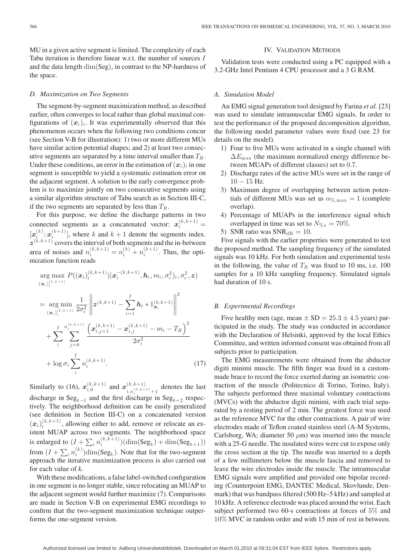MU in a given active segment is limited. The complexity of each Tabu iteration is therefore linear w.r.t. the number of sources I and the data length dim(Seg), in contrast to the NP-hardness of the space.

#### *D. Maximization on Two Segments*

The segment-by-segment maximization method, as described earlier, often converges to local rather than global maximal configurations of  $(x_i)_i$ . It was experimentally observed that this phenomenon occurs when the following two conditions concur (see Section V-B for illustration): 1) two or more different MUs have similar action potential shapes; and 2) at least two consecutive segments are separated by a time interval smaller than  $T_R$ . Under these conditions, an error in the estimation of  $(x_i)_i$  in one segment is susceptible to yield a systematic estimation error on the adjacent segment. A solution to the early convergence problem is to maximize jointly on two consecutive segments using a similar algorithm structure of Tabu search as in Section III-C, if the two segments are separated by less than  $T_R$ .

For this purpose, we define the discharge patterns in two connected segments as a concatenated vector:  $\mathbf{x}_i^{(k,k+1)} =$  $[x_i^{(k)}; x_i^{(k+1)}]$ , where k and  $k+1$  denote the segments index.  $z^{(k,k+1)}$  covers the interval of both segments and the in-between area of noises and  $n_i^{(k,k+1)} = n_i^{(k)} + n_i^{(k+1)}$ . Thus, the optimization function reads

$$
\arg \max_{(\mathbf{x}_i)_{i}^{(k,k+1)}} P((\mathbf{x}_i)_{i}^{(k,k+1)} | (\mathbf{x}_i^{-(k,k+1)}, \mathbf{h}_i, m_i, \sigma_i^2)_i, \sigma_\epsilon^2, \mathbf{z})
$$
\n
$$
= \arg \min_{(\mathbf{x}_i)_{i}^{(k,k+1)}} \frac{1}{2\sigma_\epsilon^2} \left\| \mathbf{z}^{(k,k+1)} - \sum_{i=1}^I \mathbf{h}_i * 1_{\mathbf{x}_i}^{(k,k+1)} \right\|^2
$$
\n
$$
+ \sum_{i}^I \sum_{j=0}^{n_i^{(k,k+1)}} \frac{\left( \mathbf{x}_{i,j+1}^{(k,k+1)} - \mathbf{x}_{i,j}^{(k,k+1)} - m_i - T_R \right)^2}{2\sigma_i^2}
$$
\n
$$
+ \log \sigma_i \sum_{i}^I n_i^{(k,k+1)}.
$$
\n(17)

Similarly to (16),  $x_{i,0}^{(k,k+1)}$  and  $x_{i,n^{(k,k+1)}}^{(k,k+1)}$  $\binom{k}{k}$ ,  $\binom{k+k+1}{i}$  denotes the last discharge in  $\text{Seg}_{k-1}$  and the first discharge in  $\text{Seg}_{k+2}$  respectively. The neighborhood definition can be easily generalized (see definition in Section III-C) on a concatenated version  $(x_i)_{i}^{(k,k+1)}$ , allowing either to add, remove or relocate an existent MUAP across two segments. The neighborhood space is enlarged to  $(I + \sum_i n_i^{(k,k+1)})(\dim(\text{Seg}_k) + \dim(\text{Seg}_{k+1}))$ from  $(I + \sum_i n_i^{(k)})$ dim(Seg<sub>k</sub>). Note that for the two-segment approach the iterative maximization process is also carried out for each value of *k*.

With these modifications, a false label-switched configuration in one segment is no longer stable, since relocating an MUAP to the adjacent segment would further maximize (7). Comparisons are made in Section V-B on experimental EMG recordings to confirm that the two-segment maximization technique outperforms the one-segment version.

#### IV. VALIDATION METHODS

Validation tests were conducted using a PC equipped with a 3.2-GHz Intel Pentium 4 CPU processor and a 3 G RAM.

#### *A. Simulation Model*

An EMG signal generation tool designed by Farina *et al.* [23] was used to simulate intramuscular EMG signals. In order to test the performance of the proposed decomposition algorithm, the following model parameter values were fixed (see 23 for details on the model).

- 1) Four to five MUs were activated in a single channel with  $\Delta E_{\text{max}}$  (the maximum normalized energy difference between MUAPs of different classes) set to 0.7.
- 2) Discharge rates of the active MUs were set in the range of 10 − 15 Hz.
- 3) Maximum degree of overlapping between action potentials of different MUs was set as  $\alpha_{\%,\text{max}} = 1$  (complete overlap).
- 4) Percentage of MUAPs in the interference signal which overlapped in time was set to  $N_{\% s} = 70\%$ .
- 5) SNR ratio was  $SNR_{dB} = 10$ .

Five signals with the earlier properties were generated to test the proposed method. The sampling frequency of the simulated signals was 10 kHz. For both simulation and experimental tests in the following, the value of  $T_R$  was fixed to 10 ms, i.e. 100 samples for a 10 kHz sampling frequency. Simulated signals had duration of 10 s.

#### *B. Experimental Recordings*

Five healthy men (age, mean  $\pm$  SD = 25.3  $\pm$  4.5 years) participated in the study. The study was conducted in accordance with the Declaration of Helsinki, approved by the local Ethics Committee, and written informed consent was obtained from all subjects prior to participation.

The EMG measurements were obtained from the abductor digiti minimi muscle. The fifth finger was fixed in a custommade brace to record the force exerted during an isometric contraction of the muscle (Politecnico di Torino, Torino, Italy). The subjects performed three maximal voluntary contractions (MVCs) with the abductor digiti minimi, with each trial separated by a resting period of 2 min. The greatest force was used as the reference MVC for the other contractions. A pair of wire electrodes made of Teflon coated stainless steel (A-M Systems, Carlsborg, WA; diameter 50  $\mu$ m) was inserted into the muscle with a 25-G needle. The insulated wires were cut to expose only the cross section at the tip. The needle was inserted to a depth of a few millimeters below the muscle fascia and removed to leave the wire electrodes inside the muscle. The intramuscular EMG signals were amplified and provided one bipolar recording (Counterpoint EMG, DANTEC Medical, Skovlunde, Denmark) that was bandpass filtered (500 Hz–5 kHz) and sampled at 10 kHz. A reference electrode was placed around the wrist. Each subject performed two 60-s contractions at forces of 5% and 10% MVC in random order and with 15 min of rest in between.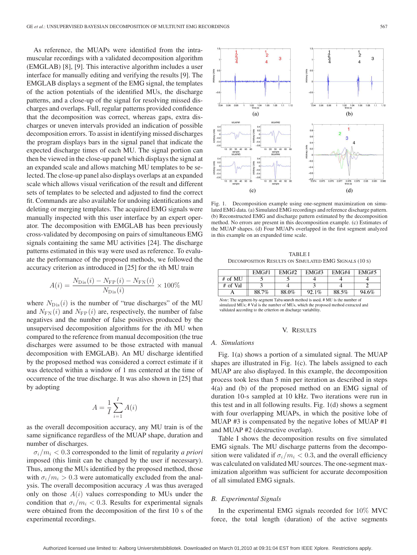As reference, the MUAPs were identified from the intramuscular recordings with a validated decomposition algorithm (EMGLAB) [8], [9]. This interactive algorithm includes a user interface for manually editing and verifying the results [9]. The EMGLAB displays a segment of the EMG signal, the templates of the action potentials of the identified MUs, the discharge patterns, and a close-up of the signal for resolving missed discharges and overlaps. Full, regular patterns provided confidence that the decomposition was correct, whereas gaps, extra discharges or uneven intervals provided an indication of possible decomposition errors. To assist in identifying missed discharges the program displays bars in the signal panel that indicate the expected discharge times of each MU. The signal portion can then be viewed in the close-up panel which displays the signal at an expanded scale and allows matching MU templates to be selected. The close-up panel also displays overlaps at an expanded scale which allows visual verification of the result and different sets of templates to be selected and adjusted to find the correct fit. Commands are also available for undoing identifications and deleting or merging templates. The acquired EMG signals were manually inspected with this user interface by an expert operator. The decomposition with EMGLAB has been previously cross-validated by decomposing on pairs of simultaneous EMG signals containing the same MU activities [24]. The discharge patterns estimated in this way were used as reference. To evaluate the performance of the proposed methods, we followed the accuracy criterion as introduced in [25] for the ith MU train

$$
A(i) = \frac{N_{\rm Dis}(i) - N_{\rm FP}(i) - N_{\rm FN}(i)}{N_{\rm Dis}(i)} \times 100\%
$$

where  $N_{\text{Dis}}(i)$  is the number of "true discharges" of the MU and  $N_{\text{FN}}(i)$  and  $N_{\text{FP}}(i)$  are, respectively, the number of false negatives and the number of false positives produced by the unsupervised decomposition algorithms for the ith MU when compared to the reference from manual decomposition (the true discharges were assumed to be those extracted with manual decomposition with EMGLAB). An MU discharge identified by the proposed method was considered a correct estimate if it was detected within a window of 1 ms centered at the time of occurrence of the true discharge. It was also shown in [25] that by adopting

$$
A = \frac{1}{I} \sum_{i=1}^{I} A(i)
$$

as the overall decomposition accuracy, any MU train is of the same significance regardless of the MUAP shape, duration and number of discharges.

 $\sigma_i/m_i < 0.3$  corresponded to the limit of regularity *a priori* imposed (this limit can be changed by the user if necessary). Thus, among the MUs identified by the proposed method, those with  $\sigma_i/m_i > 0.3$  were automatically excluded from the analysis. The overall decomposition accuracy A was thus averaged only on those  $A(i)$  values corresponding to MUs under the condition that  $\sigma_i/m_i < 0.3$ . Results for experimental signals were obtained from the decomposition of the first 10 s of the experimental recordings.



Fig. 1. Decomposition example using one-segment maximization on simulated EMG data. (a) Simulated EMG recordings and reference discharge pattern. (b) Reconstructed EMG and discharge pattern estimated by the decomposition method. No errors are present in this decomposition example. (c) Estimates of the MUAP shapes. (d) Four MUAPs overlapped in the first segment analyzed in this example on an expanded time scale.

TABLE I DECOMPOSITION RESULTS ON SIMULATED EMG SIGNALS (10 S)

|          | EMG#1 | EMG#2 | EMG#3 | EMG#4 | EMG#5 |
|----------|-------|-------|-------|-------|-------|
| # of MU  |       |       |       |       |       |
| # of Val |       |       |       |       |       |
|          | 88.7% | 88.0% | 92.1% | 88.5% | 94.6% |

Note: The segment-by-segment Tabu search method is used. # MU is the number of simulated MUs; # Val is the number of MUs, which the proposed method extracted and validated according to the criterion on discharge variability.

#### V. RESULTS

#### *A. Simulations*

Fig. 1(a) shows a portion of a simulated signal. The MUAP shapes are illustrated in Fig. 1(c). The labels assigned to each MUAP are also displayed. In this example, the decomposition process took less than 5 min per iteration as described in steps 4(a) and (b) of the proposed method on an EMG signal of duration 10-s sampled at 10 kHz. Two iterations were run in this test and in all following results. Fig. 1(d) shows a segment with four overlapping MUAPs, in which the positive lobe of MUAP #3 is compensated by the negative lobes of MUAP #1 and MUAP #2 (destructive overlap).

Table I shows the decomposition results on five simulated EMG signals. The MU discharge patterns from the decomposition were validated if  $\sigma_i/m_i < 0.3$ , and the overall efficiency was calculated on validated MU sources. The one-segment maximization algorithm was sufficient for accurate decomposition of all simulated EMG signals.

#### *B. Experimental Signals*

In the experimental EMG signals recorded for 10% MVC force, the total length (duration) of the active segments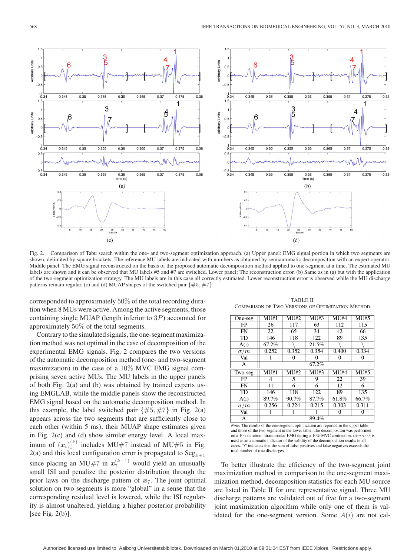

Fig. 2. Comparison of Tabu search within the one- and two-segment optimization approach. (a) Upper panel: EMG signal portion in which two segments are shown, delimited by square brackets. The reference MU labels are indicated with numbers as obtained by semiautomatic decomposition with an expert operator. Middle panel: The EMG signal reconstructed on the basis of the proposed automatic decomposition method applied to one-segment at a time. The estimated MU labels are shown and it can be observed that MU labels #5 and #7 are switched. Lower panel: The reconstruction error. (b) Same as in (a) but with the application of the two-segment optimization strategy. The MU labels are in this case all correctly estimated. Lower reconstruction error is observed while the MU discharge patterns remain regular. (c) and (d) MUAP shapes of the switched pair  $\{\#5, \#7\}$ .

corresponded to approximately 50% of the total recording duration when 8 MUs were active. Among the active segments, those containing single MUAP (length inferior to 3P) accounted for approximately 50% of the total segments.

Contrary to the simulated signals, the one-segment maximization method was not optimal in the case of decomposition of the experimental EMG signals. Fig. 2 compares the two versions of the automatic decomposition method (one- and two-segment maximization) in the case of a 10% MVC EMG signal comprising seven active MUs. The MU labels in the upper panels of both Fig. 2(a) and (b) was obtained by trained experts using EMGLAB, while the middle panels show the reconstructed EMG signal based on the automatic decomposition method. In this example, the label switched pair  $\{\#5, \#7\}$  in Fig. 2(a) appears across the two segments that are sufficiently close to each other (within 5 ms); their MUAP shape estimates given in Fig. 2(c) and (d) show similar energy level. A local maximum of  $(x_i)^{(k)}_i$  includes MU#7 instead of MU#5 in Fig. 2(a) and this local configuration error is propagated to  $\text{Seg}_{k+1}$ since placing an MU#7 in  $x_7^{(k+1)}$  would yield an unusually small ISI and penalize the posterior distribution through the prior laws on the discharge pattern of  $x_7$ . The joint optimal solution on two segments is more "global" in a sense that the corresponding residual level is lowered, while the ISI regularity is almost unaltered, yielding a higher posterior probability [see Fig. 2(b)].

TABLE II COMPARISON OF TWO VERSIONS OF OPTIMIZATION METHOD

| One-seg                       | M1#1  | MU#2  | MU#3     | MU#4   | MU#5  |
|-------------------------------|-------|-------|----------|--------|-------|
| FP                            | 26    | 117   | 63       | 112    | 115   |
| <b>FN</b>                     | 22    | 65    | 34       | 42     | 66    |
| $\overline{\text{T}}\text{D}$ | 146   | 118   | 122      | 89     | 135   |
| A(i)                          | 67.2% |       | 21.5%    |        |       |
| $\sigma/m$                    | 0.252 | 0.352 | 0.354    | 0.400  | 0.334 |
| Val                           |       | 0     | $\Omega$ | 0      | 0     |
| A                             |       |       | 67.2%    |        |       |
| Two-seg                       | MU#1  | MU#2  | MU#3     | MU#4   | MU#5  |
| FP                            | 4     | 5     | 9        | 22     | 39    |
| <b>FN</b>                     | 11    | 6     | 6        | 12     | 6     |
| <b>TD</b>                     | 146   | 118   | 122      | 89     | 135   |
| A(i)                          | 89.7% | 90.7% | 87.7%    | 61.8%  | 66.7% |
| $\sigma/m$                    | 0.256 | 0.224 | 0.215    | 0.303  | 0.311 |
| Val                           |       |       |          | $_{0}$ | 0     |
| А                             |       |       | 89.4%    |        |       |
|                               |       |       |          |        |       |

Note: The results of the one-segment optimization are reported in the upper table and those of the two-segment in the lower table. The decompositon was performed on a 10 s duration intramuscular EMG during a 10% MVC contraction.  $\sigma/m$  < 0.3 is used as an automatic indicator of the validity of the decomposition results in all cases. "\" indicates that the sum of false positives and false negatives exceeds the total number of true discharges

To better illustrate the efficiency of the two-segment joint maximization method in comparison to the one-segment maximization method, decomposition statistics for each MU source are listed in Table II for one representative signal. Three MU discharge patterns are validated out of five for a two-segment joint maximization algorithm while only one of them is validated for the one-segment version. Some  $A(i)$  are not cal-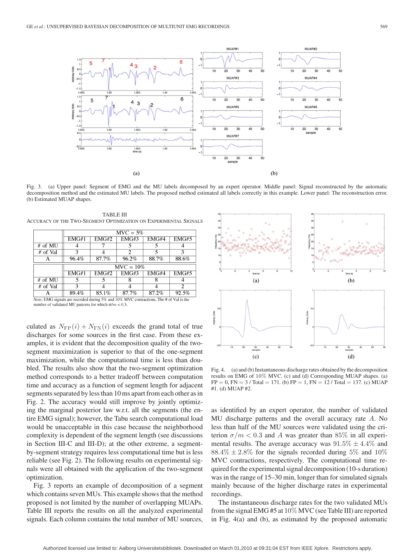

Fig. 3. (a) Upper panel: Segment of EMG and the MU labels decomposed by an expert operator. Middle panel: Signal reconstructed by the automatic decomposition method and the estimated MU labels. The proposed method estimated all labels correctly in this example. Lower panel: The reconstruction error. (b) Estimated MUAP shapes.

TABLE III ACCURACY OF THE TWO-SEGMENT OPTIMIZATION ON EXPERIMENTAL SIGNALS

|           | $MVC = 5%$ |       |              |       |       |  |  |
|-----------|------------|-------|--------------|-------|-------|--|--|
|           | EMG#1      | EMG#2 | EMG#3        | EMG#4 | EMG#5 |  |  |
| $#$ of MU |            |       |              |       |       |  |  |
| # of Val  | 3          |       | 2            |       |       |  |  |
|           | 96.4%      | 87.7% | $96.2\%$     | 88.7% | 88.6% |  |  |
|           |            |       |              |       |       |  |  |
|           |            |       |              |       |       |  |  |
|           |            |       | $MVC = 10\%$ |       |       |  |  |
|           | EMG#1      | EMG#2 | EMG#3        | EMG#4 | EMG#5 |  |  |
| # of MU   | 5          | 5     |              |       |       |  |  |
| # of Val  | З          |       |              |       |       |  |  |
|           | 89.4%      | 85.1% | 87.7%        | 87.2% | 92.5% |  |  |

number of validated MU patterns for which  $\sigma/m < 0.3.$ 

culated as  $N_{\text{FP}}(i) + N_{\text{FN}}(i)$  exceeds the grand total of true discharges for some sources in the first case. From these examples, it is evident that the decomposition quality of the twosegment maximization is superior to that of the one-segment maximization, while the computational time is less than doubled. The results also show that the two-segment optimization method corresponds to a better tradeoff between computation time and accuracy as a function of segment length for adjacent segments separated by less than 10 ms apart from each other as in Fig. 2. The accuracy would still improve by jointly optimizing the marginal posterior law w.r.t. all the segments (the entire EMG signal); however, the Tabu search computational load would be unacceptable in this case because the neighborhood complexity is dependent of the segment length (see discussions in Section III-C and III-D); at the other extreme, a segmentby-segment strategy requires less computational time but is less reliable (see Fig. 2). The following results on experimental signals were all obtained with the application of the two-segment optimization.

Fig. 3 reports an example of decomposition of a segment which contains seven MUs. This example shows that the method proposed is not limited by the number of overlapping MUAPs. Table III reports the results on all the analyzed experimental signals. Each column contains the total number of MU sources,



Fig. 4. (a) and (b) Instantaneous discharge rates obtained by the decomposition results on EMG of 10% MVC. (c) and (d) Corresponding MUAP shapes. (a)  $FP = 0$ ,  $FN = 3 / Total = 171$ . (b)  $FP = 1$ ,  $FN = 12 / Total = 137$ . (c) MUAP #1. (d) MUAP #2.

as identified by an expert operator, the number of validated MU discharge patterns and the overall accuracy rate A. No less than half of the MU sources were validated using the criterion  $\sigma/m < 0.3$  and A was greater than 85% in all experimental results. The average accuracy was  $91.5\% \pm 4.4\%$  and  $88.4\% \pm 2.8\%$  for the signals recorded during 5% and 10% MVC contractions, respectively. The computational time required for the experimental signal decomposition (10-s duration) was in the range of 15–30 min, longer than for simulated signals mainly because of the higher discharge rates in experimental recordings.

The instantaneous discharge rates for the two validated MUs from the signal EMG #5 at 10% MVC (see Table III) are reported in Fig. 4(a) and (b), as estimated by the proposed automatic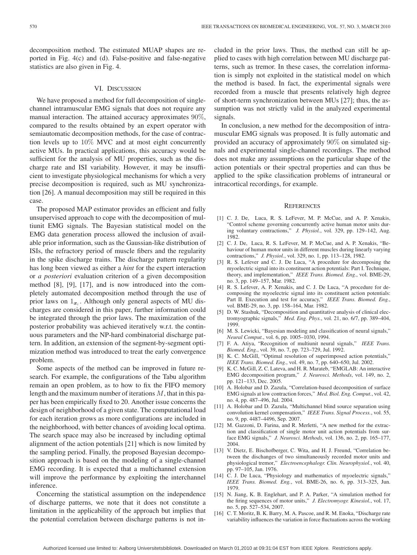decomposition method. The estimated MUAP shapes are reported in Fig. 4(c) and (d). False-positive and false-negative statistics are also given in Fig. 4.

#### VI. DISCUSSION

We have proposed a method for full decomposition of singlechannel intramuscular EMG signals that does not require any manual interaction. The attained accuracy approximates 90%, compared to the results obtained by an expert operator with semiautomatic decomposition methods, for the case of contraction levels up to 10% MVC and at most eight concurrently active MUs. In practical applications, this accuracy would be sufficient for the analysis of MU properties, such as the discharge rate and ISI variability. However, it may be insufficient to investigate physiological mechanisms for which a very precise decomposition is required, such as MU synchronization [26]. A manual decomposition may still be required in this case.

The proposed MAP estimator provides an efficient and fully unsupervised approach to cope with the decomposition of multiunit EMG signals. The Bayesian statistical model on the EMG data generation process allowed the inclusion of available prior information, such as the Gaussian-like distribution of ISIs, the refractory period of muscle fibers and the regularity in the spike discharge trains. The discharge pattern regularity has long been viewed as either a *hint* for the expert interaction or *a posteriori* evaluation criterion of a given decomposition method [8], [9], [17], and is now introduced into the completely automated decomposition method through the use of prior laws on  $1_{x_i}$ . Although only general aspects of MU discharges are considered in this paper, further information could be integrated through the prior laws. The maximization of the posterior probability was achieved iteratively w.r.t. the continuous parameters and the NP-hard combinatorial discharge pattern. In addition, an extension of the segment-by-segment optimization method was introduced to treat the early convergence problem.

Some aspects of the method can be improved in future research. For example, the configurations of the Tabu algorithm remain an open problem, as to how to fix the FIFO memory length and the maximum number of iterations  $M$ , that in this paper has been empirically fixed to 20. Another issue concerns the design of neighborhood of a given state. The computational load for each iteration grows as more configurations are included in the neighborhood, with better chances of avoiding local optima. The search space may also be increased by including optimal alignment of the action potentials [21] which is now limited by the sampling period. Finally, the proposed Bayesian decomposition approach is based on the modeling of a single-channel EMG recording. It is expected that a multichannel extension will improve the performance by exploiting the interchannel inference.

Concerning the statistical assumption on the independence of discharge patterns, we note that it does not constitute a limitation in the applicability of the approach but implies that the potential correlation between discharge patterns is not included in the prior laws. Thus, the method can still be applied to cases with high correlation between MU discharge patterns, such as tremor. In these cases, the correlation information is simply not exploited in the statistical model on which the method is based. In fact, the experimental signals were recorded from a muscle that presents relatively high degree of short-term synchronization between MUs [27]; thus, the assumption was not strictly valid in the analyzed experimental signals.

In conclusion, a new method for the decomposition of intramuscular EMG signals was proposed. It is fully automatic and provided an accuracy of approximately 90% on simulated signals and experimental single-channel recordings. The method does not make any assumptions on the particular shape of the action potentials or their spectral properties and can thus be applied to the spike classification problems of intraneural or intracortical recordings, for example.

#### **REFERENCES**

- [1] C. J. De, Luca, R. S. LeFever, M. P. McCue, and A. P. Xenakis, "Control scheme governing concurrently active human motor units during voluntary contractions," *J. Physiol.*, vol. 329, pp. 129–142, Aug. 1982.
- [2] C. J. De, Luca, R. S. LeFever, M. P. McCue, and A. P. Xenakis, "Behaviour of human motor units in different muscles during linearly varying contractions," *J. Physiol.*, vol. 329, no. 1, pp. 113–128, 1982.
- [3] R. S. Lefever and C. J. De Luca, "A procedure for decomposing the myoelectric signal into its constituent action potentials: Part I. Technique, theory, and implementation," *IEEE Trans. Biomed. Eng.*, vol. BME-29, no. 3, pp. 149–157, Mar. 1982.
- [4] R. S. Lefever, A. P. Xenakis, and C. J. De Luca, "A procedure for decomposing the myoelectric signal into its constituent action potentials: Part II. Execution and test for accuracy," *IEEE Trans. Biomed. Eng.*, vol. BME-29, no. 3, pp. 158–164, Mar. 1982.
- [5] D. W. Stashuk, "Decomposition and quantitative analysis of clinical electromyographic signals," *Med. Eng. Phys.*, vol. 21, no. 6/7, pp. 389–404, 1999.
- [6] M. S. Lewicki, "Bayesian modeling and classification of neural signals," *Neural Comput.*, vol. 6, pp. 1005–1030, 1994.
- [7] F. A. Atiya, "Recognition of multiunit neural signals," *IEEE Trans. Biomed. Eng.*, vol. 39, no. 7, pp. 723–729, Jul. 1992.
- [8] K. C. McGill, "Optimal resolution of superimposed action potentials," *IEEE Trans. Biomed. Eng.*, vol. 49, no. 7, pp. 640–650, Jul. 2002.
- [9] K. C. McGill, Z. C. Lateva, and H. R. Marateb, "EMGLAB: An interactive EMG decomposition program," *J. Neurosci. Methods*, vol. 149, no. 2, pp. 121–133, Dec. 2005.
- [10] A. Holobar and D. Zazula, "Correlation-based decomposition of surface EMG signals at low contraction forces," *Med. Biol. Eng. Comput.*, vol. 42, no. 4, pp. 487–496, Jul. 2004.
- [11] A. Holobar and D. Zazula, "Multichannel blind source separation using convolution kernel compensation," *IEEE Trans. Signal Process.*, vol. 55, no. 9, pp. 4487–4496, Sep. 2007.
- [12] M. Gazzoni, D. Farina, and R. Merletti, "A new method for the extraction and classification of single motor unit action potentials from surface EMG signals," *J. Neurosci. Methods*, vol. 136, no. 2, pp. 165–177, 2004.
- [13] V. Dietz, E. Bischofberger, C. Wita, and H. J. Freund, "Correlation between the dischanges of two simultaneously recorded motor units and physiological tremor," *Electroencephalogr. Clin. Neurophysiol.*, vol. 40, pp. 97–105, Jan. 1976.
- [14] C. J. De Luca, "Physiology and mathematics of myoelectric signals," *IEEE Trans. Biomed. Eng.*, vol. BME-26, no. 6, pp. 313–325, Jun. 1979.
- [15] N. Jiang, K. B. Englehart, and P. A. Parker, "A simulation method for the firing sequences of motor units," *J. Electromyogr. Kinesiol.*, vol. 17, no. 5, pp. 527–534, 2007.
- [16] C. T. Moritz, B. K. Barry, M. A. Pascoe, and R. M. Enoka, "Discharge rate variability influences the variation in force fluctuations across the working